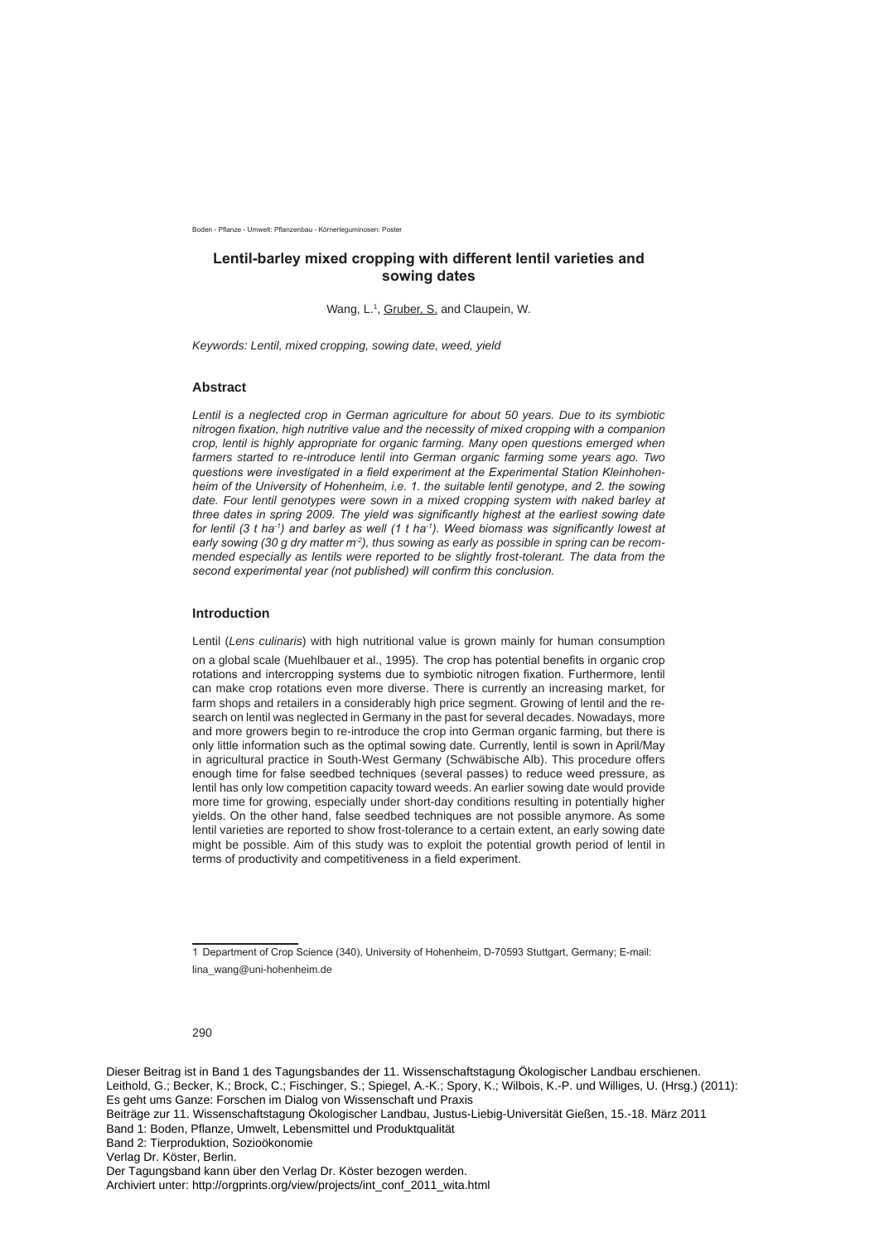Roden - Pflanze - Umwelt: Pflanzenhau - Körnerleguminosen: Poster

# Lentil-barley mixed cropping with different lentil varieties and sowing dates

Wang, L.<sup>1</sup>, Gruber, S. and Claupein, W.

*Keywords: Lentil, mixed cropping, sowing date, weed, yield* 

## **Abstract**

*Lentil is a neglected crop in German agriculture for about 50 years. Due to its symbiotic nitrogen fixation, high nutritive value and the necessity of mixed cropping with a companion crop, lentil is highly appropriate for organic farming. Many open questions emerged when farmers started to re-introduce lentil into German organic farming some years ago. Two TAHRIGHZIGHZIGHZIGHT CHOCH SUPERIFHOLD vertilal Station Sverimental Station Kleinhohen*heim of the University of Hohenheim, i.e. 1. the suitable lentil genotype, and 2. the sowing date. Four lentil genotypes were sown in a mixed cropping system with naked barley at *three dates in spring 2009. The yield was significantly highest at the earliest sowing date for lentil (3 t ha<sup>-1</sup>) and barley as well (1 t ha<sup>-1</sup>). Weed biomass was significantly lowest at early sowing (30 g dry matter m<sup>2</sup>), thus sowing as early as possible in spring can be recommended especially as lentils were reported to be slightly frost-tolerant. The data from the*  second experimental year (not published) will confirm this conclusion.

## **Introduction**

Lentil (*Lens culinaris*) with high nutritional value is grown mainly for human consumption

on a global scale (Muehlbauer et al., 1995). The crop has potential benefits in organic crop rotations and intercropping systems due to symbiotic nitrogen fixation. Furthermore, lentil can make crop rotations even more diverse. There is currently an increasing market, for farm shops and retailers in a considerably high price segment. Growing of lentil and the research on lentil was neglected in Germany in the past for several decades. Nowadays, more and more growers begin to re-introduce the crop into German organic farming, but there is only little information such as the optimal sowing date. Currently, lentil is sown in April/May in agricultural practice in South-West Germany (Schwäbische Alb). This procedure offers enough time for false seedbed techniques (several passes) to reduce weed pressure, as lentil has only low competition capacity toward weeds. An earlier sowing date would provide more time for growing, especially under short-day conditions resulting in potentially higher vields. On the other hand, false seedbed techniques are not possible anymore. As some lentil varieties are reported to show frost-tolerance to a certain extent, an early sowing date might be possible. Aim of this study was to exploit the potential growth period of lentil in terms of productivity and competitiveness in a field experiment.

<sup>1</sup> Department of Crop Science (340), University of Hohenheim, D-70593 Stuttgart, Germany; E-mail: lina\_wang@uni-hohenheim.de

<sup>290</sup>

Dieser Beitrag ist in Band 1 des Tagungsbandes der 11. Wissenschaftstagung Ökologischer Landbau erschienen. Leithold, G.; Becker, K.; Brock, C.; Fischinger, S.; Spiegel, A.-K.; Spory, K.; Wilbois, K.-P. und Williges, U. (Hrsg.) (2011): Es geht ums Ganze: Forschen im Dialog von Wissenschaft und Praxis

Beiträge zur 11. Wissenschaftstagung Ökologischer Landbau, Justus-Liebig-Universität Gießen, 15.-18. März 2011 Band 1: Boden, Pflanze, Umwelt, Lebensmittel und Produktqualität

Band 2: Tierproduktion, Sozioökonomie

Verlag Dr. Köster, Berlin.

Der Tagungsband kann über den Verlag Dr. Köster bezogen werden.

Archiviert unter: http://orgprints.org/view/projects/int\_conf\_2011\_wita.html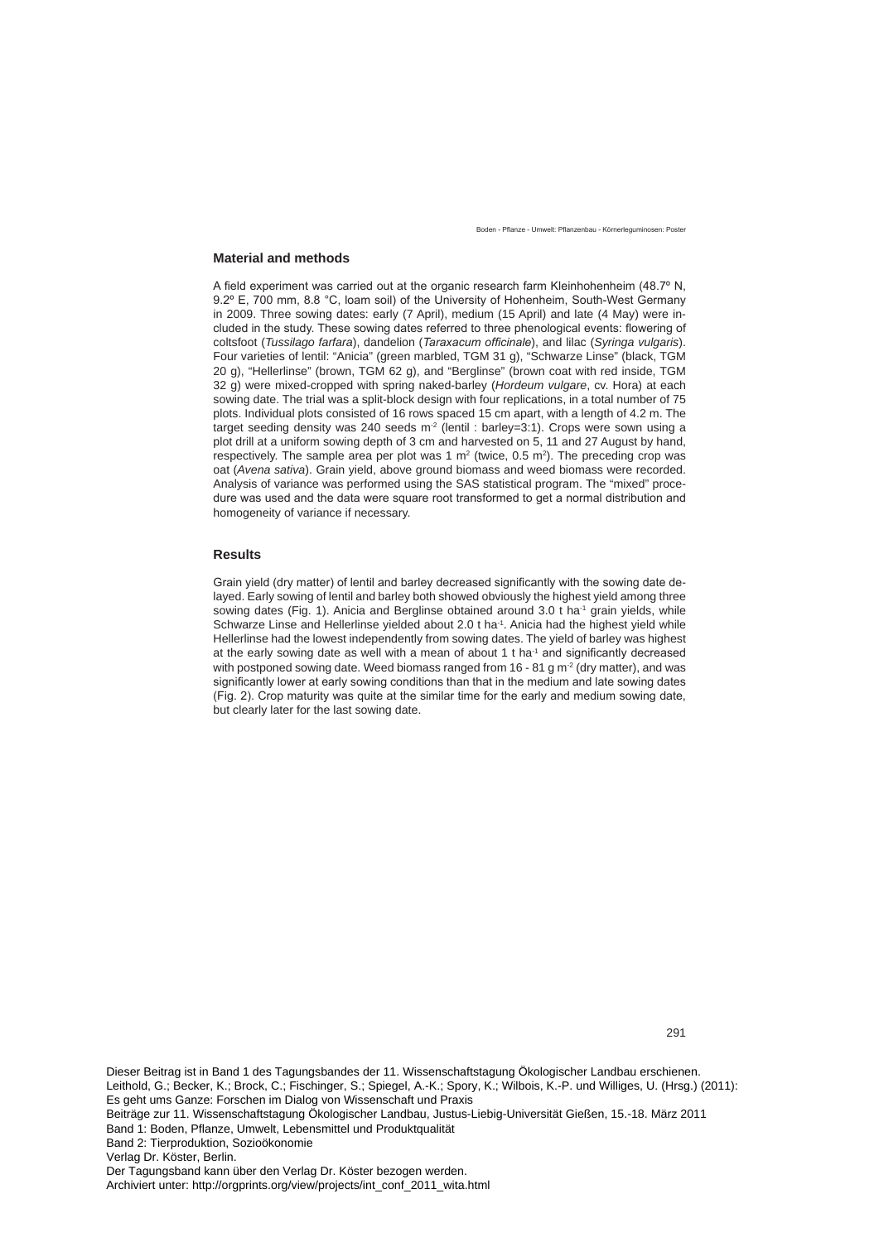Roden - Pflanze - Umwelt: Pflanzenhau - Körnerleguminosen: Poster

## **Material and methods**

A field experiment was carried out at the organic research farm Kleinhohenheim (48.7° N, 9.2° E, 700 mm, 8.8 °C, loam soil) of the University of Hohenheim, South-West Germany in 2009. Three sowing dates: early (7 April), medium (15 April) and late (4 May) were included in the study. These sowing dates referred to three phenological events: flowering of coltsfoot (*Tussilago farfara*), dandelion (*Taraxacum officinale*), and lilac (*Syringa vulgaris*). Four varieties of lentil: "Anicia" (green marbled, TGM 31 g), "Schwarze Linse" (black, TGM 20 g), "Hellerlinse" (brown, TGM 62 g), and "Berglinse" (brown coat with red inside, TGM 32 g) were mixed-cropped with spring naked-barley (*Hordeum vulgare*, cv. Hora) at each sowing date. The trial was a split-block design with four replications, in a total number of 75 plots. Individual plots consisted of 16 rows spaced 15 cm apart, with a length of 4.2 m. The target seeding density was 240 seeds  $m^2$  (lentil : barley=3:1). Crops were sown using a plot drill at a uniform sowing depth of 3 cm and harvested on 5, 11 and 27 August by hand, respectively. The sample area per plot was 1  $m^2$  (twice, 0.5  $m^2$ ). The preceding crop was oat (*Avena sativa*). Grain yield, above ground biomass and weed biomass were recorded. Analysis of variance was performed using the SAS statistical program. The "mixed" proce- $G$  dure was used and the data were square root transformed to get a normal distribution and homogeneity of variance if necessary.

## **Results**

Grain yield (dry matter) of lentil and barley decreased significantly with the sowing date delayed. Early sowing of lentil and barley both showed obviously the highest yield among three sowing dates (Fig. 1). Anicia and Berglinse obtained around 3.0 t ha<sup>-1</sup> grain yields, while Schwarze Linse and Hellerlinse yielded about 2.0 t ha<sup>-1</sup>. Anicia had the highest yield while Hellerlinse had the lowest independently from sowing dates. The yield of barley was highest at the early sowing date as well with a mean of about 1 t ha $<sup>1</sup>$  and significantly decreased</sup> with postponed sowing date. Weed biomass ranged from 16 - 81 g  $\text{m}^2$  (dry matter), and was significantly lower at early sowing conditions than that in the medium and late sowing dates (Fig. 2). Crop maturity was quite at the similar time for the early and medium sowing date, but clearly later for the last sowing date.

Dieser Beitrag ist in Band 1 des Tagungsbandes der 11. Wissenschaftstagung Ökologischer Landbau erschienen. Leithold, G.; Becker, K.; Brock, C.; Fischinger, S.; Spiegel, A.-K.; Spory, K.; Wilbois, K.-P. und Williges, U. (Hrsg.) (2011): Es geht ums Ganze: Forschen im Dialog von Wissenschaft und Praxis

Band 2: Tierproduktion, Sozioökonomie

Verlag Dr. Köster, Berlin.

Der Tagungsband kann über den Verlag Dr. Köster bezogen werden.

Archiviert unter: http://orgprints.org/view/projects/int\_conf\_2011\_wita.html

Beiträge zur 11. Wissenschaftstagung Ökologischer Landbau, Justus-Liebig-Universität Gießen, 15.-18. März 2011 Band 1: Boden, Pflanze, Umwelt, Lebensmittel und Produktqualität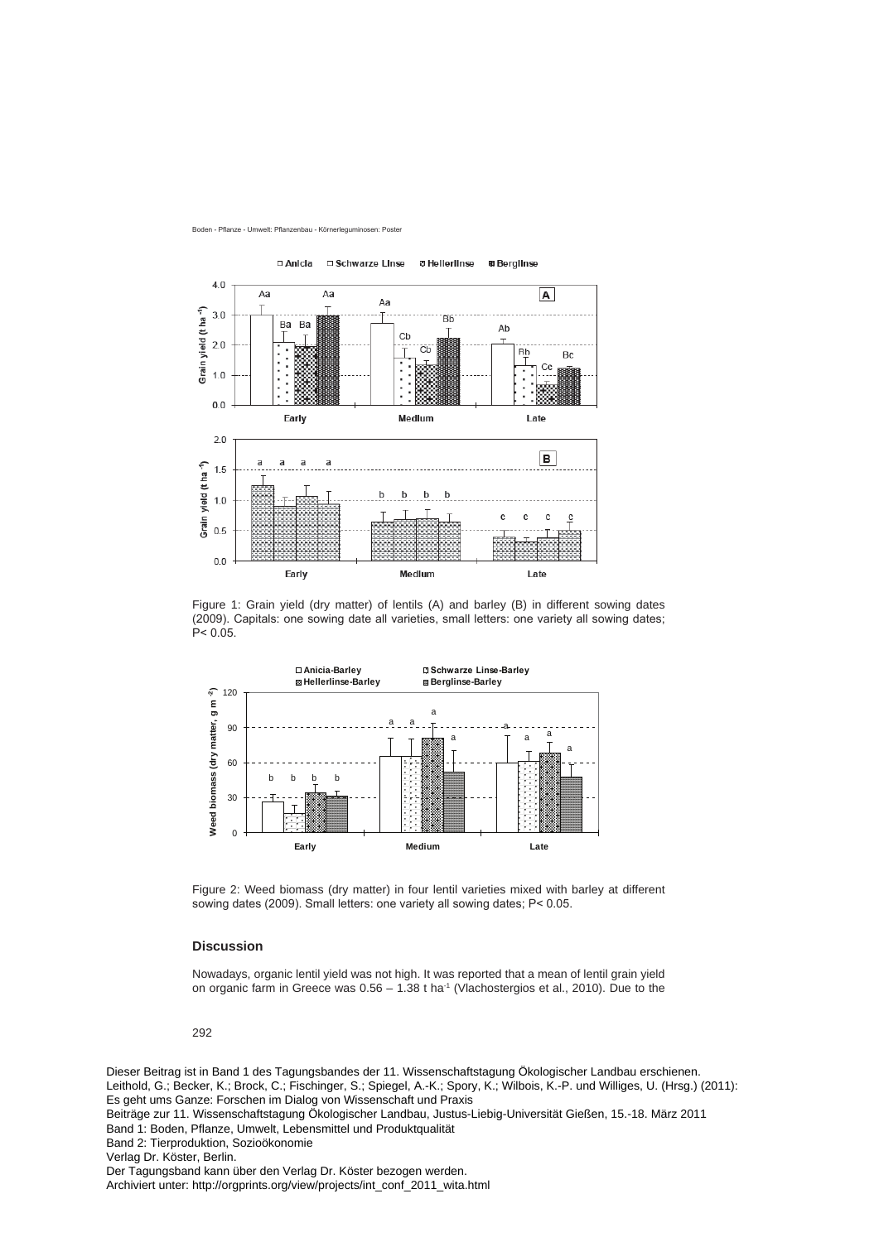



Figure 1: Grain yield (dry matter) of lentils (A) and barley (B) in different sowing dates (2009). Capitals: one sowing date all varieties, small letters: one variety all sowing dates;  $P < 0.05$ .



Figure 2: Weed biomass (dry matter) in four lentil varieties mixed with barley at different sowing dates (2009). Small letters: one variety all sowing dates;  $P < 0.05$ .

## **Discussion**

Nowadays, organic lentil yield was not high. It was reported that a mean of lentil grain yield on organic farm in Greece was  $0.56 - 1.38$  t ha<sup>-1</sup> (Vlachostergios et al., 2010). Due to the

292

Dieser Beitrag ist in Band 1 des Tagungsbandes der 11. Wissenschaftstagung Ökologischer Landbau erschienen. Leithold, G.; Becker, K.; Brock, C.; Fischinger, S.; Spiegel, A.-K.; Spory, K.; Wilbois, K.-P. und Williges, U. (Hrsg.) (2011): Es geht ums Ganze: Forschen im Dialog von Wissenschaft und Praxis Beiträge zur 11. Wissenschaftstagung Ökologischer Landbau, Justus-Liebig-Universität Gießen, 15.-18. März 2011 Band 1: Boden, Pflanze, Umwelt, Lebensmittel und Produktqualität Band 2: Tierproduktion, Sozioökonomie Verlag Dr. Köster, Berlin. Der Tagungsband kann über den Verlag Dr. Köster bezogen werden. Archiviert unter: http://orgprints.org/view/projects/int\_conf\_2011\_wita.html